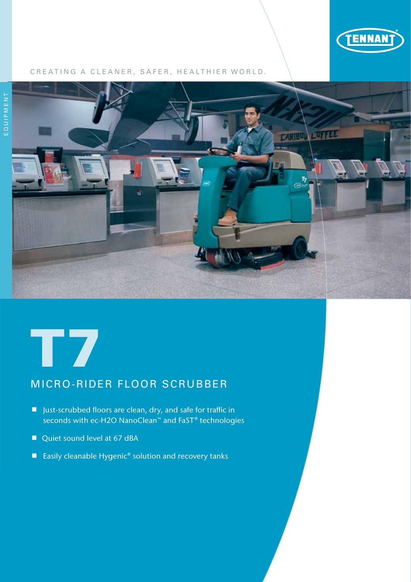

#### CREATING A CLEANER, SAFER, HEALTHIER WORLD.





# MICRO-RIDER FLOOR SCRUBBER

- Just-scrubbed floors are clean, dry, and safe for traffic in seconds with ec-H2O NanoClean™ and FaST® technologies
- Quiet sound level at 67 dBA
- Easily cleanable Hygenic<sup>®</sup> solution and recovery tanks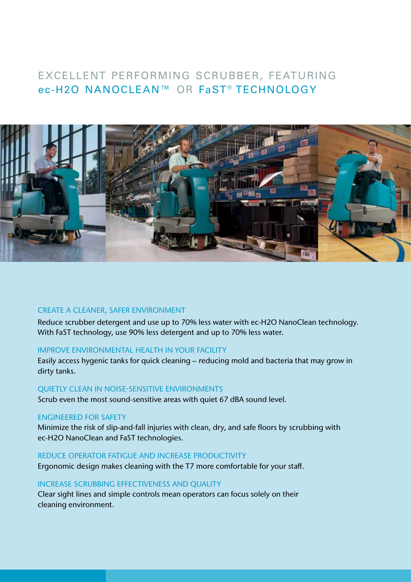# EXCELLENT PERFORMING SCRUBBER, FEATURING ec-H2O NANOCLEAN™ OR FaST® TECHNOLOGY



#### CREATE A CLEANER, SAFER ENVIRONMENT

Reduce scrubber detergent and use up to 70% less water with ec-H2O NanoClean technology. With FaST technology, use 90% less detergent and up to 70% less water.

#### IMPROVE ENVIRONMENTAL HEALTH IN YOUR FACILITY

Easily access hygenic tanks for quick cleaning – reducing mold and bacteria that may grow in dirty tanks.

#### QUIETLY CLEAN IN NOISE-SENSITIVE ENVIRONMENTS

Scrub even the most sound-sensitive areas with quiet 67 dBA sound level.

#### ENGINEERED FOR SAFETY

Minimize the risk of slip-and-fall injuries with clean, dry, and safe floors by scrubbing with ec-H2O NanoClean and FaST technologies.

#### REDUCE OPERATOR FATIGUE AND INCREASE PRODUCTIVITY

Ergonomic design makes cleaning with the T7 more comfortable for your staff.

#### INCREASE SCRUBBING EFFECTIVENESS AND QUALITY

Clear sight lines and simple controls mean operators can focus solely on their cleaning environment.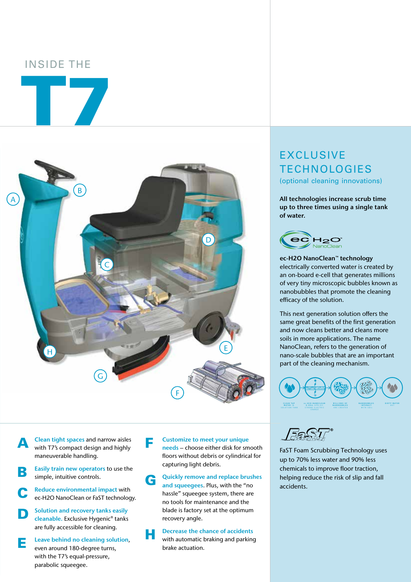## INSIDE THE

T7



**A** Clean tight spaces and narrow aisles<br>with T7's compact design and highly maneuverable handling.



**C** Reduce environmental impact with<br>
ec-H2O NanoClean or FaST technology.

**D** Solution and recovery tanks easily<br>cleanable. Exclusive Hygenic<sup>®</sup> tanks are fully accessible for cleaning.

**E** Leave behind no cleaning solution, even around 180-degree turns, with the T7's equal-pressure, parabolic squeegee.

**F** Customize to meet your unique<br>
needs – choose either disk for smooth floors without debris or cylindrical for capturing light debris.

G Quickly remove and replace brushes<br>and squeegees. Plus, with the "no hassle" squeegee system, there are no tools for maintenance and the blade is factory set at the optimum recovery angle.

**H** Decrease the chance of accidents<br>with automatic braking and parking brake actuation.

# **EXCLUSIVE TECHNOLOGIES**

(optional cleaning innovations)

All technologies increase scrub time up to three times using a single tank of water.



ec-H2O NanoClean™ technology electrically converted water is created by an on-board e-cell that generates millions of very tiny microscopic bubbles known as nanobubbles that promote the cleaning efficacy of the solution.

This next generation solution offers the same great benefits of the first generation and now cleans better and cleans more soils in more applications. The name NanoClean, refers to the generation of nano-scale bubbles that are an important part of the cleaning mechanism.





FaST Foam Scrubbing Technology uses up to 70% less water and 90% less chemicals to improve floor traction, helping reduce the risk of slip and fall accidents.